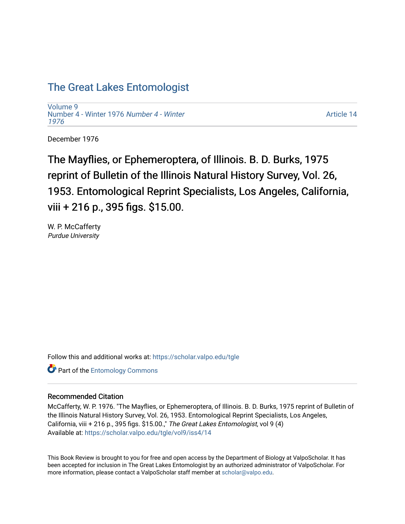## [The Great Lakes Entomologist](https://scholar.valpo.edu/tgle)

[Volume 9](https://scholar.valpo.edu/tgle/vol9) [Number 4 - Winter 1976](https://scholar.valpo.edu/tgle/vol9/iss4) Number 4 - Winter [1976](https://scholar.valpo.edu/tgle/vol9/iss4) 

[Article 14](https://scholar.valpo.edu/tgle/vol9/iss4/14) 

December 1976

The Mayflies, or Ephemeroptera, of Illinois. B. D. Burks, 1975 reprint of Bulletin of the Illinois Natural History Survey, Vol. 26, 1953. Entomological Reprint Specialists, Los Angeles, California, viii + 216 p., 395 figs. \$15.00.

W. P. McCafferty Purdue University

Follow this and additional works at: [https://scholar.valpo.edu/tgle](https://scholar.valpo.edu/tgle?utm_source=scholar.valpo.edu%2Ftgle%2Fvol9%2Fiss4%2F14&utm_medium=PDF&utm_campaign=PDFCoverPages) 

**Part of the Entomology Commons** 

## Recommended Citation

McCafferty, W. P. 1976. "The Mayflies, or Ephemeroptera, of Illinois. B. D. Burks, 1975 reprint of Bulletin of the Illinois Natural History Survey, Vol. 26, 1953. Entomological Reprint Specialists, Los Angeles, California, viii + 216 p., 395 figs. \$15.00.," The Great Lakes Entomologist, vol 9 (4) Available at: [https://scholar.valpo.edu/tgle/vol9/iss4/14](https://scholar.valpo.edu/tgle/vol9/iss4/14?utm_source=scholar.valpo.edu%2Ftgle%2Fvol9%2Fiss4%2F14&utm_medium=PDF&utm_campaign=PDFCoverPages) 

This Book Review is brought to you for free and open access by the Department of Biology at ValpoScholar. It has been accepted for inclusion in The Great Lakes Entomologist by an authorized administrator of ValpoScholar. For more information, please contact a ValpoScholar staff member at [scholar@valpo.edu.](mailto:scholar@valpo.edu)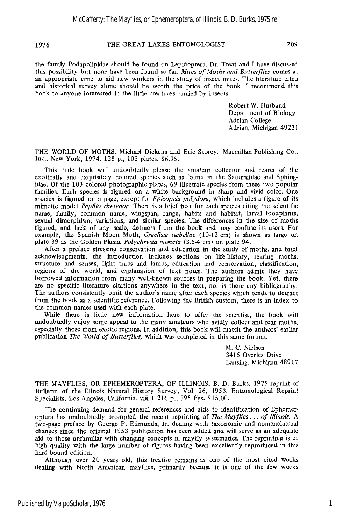## 1976 **THE GREAT LAKES ENTOMOLOGIST** 209

the family Podapolipidae should be found on Lepidoptera. Dr. Treat and I have discussed this possibility but none have been found so far. *Mites of Moths and Butterflies* comes at an appropriate time to aid new workers in the study of insect mites. The literature cited and historical survey alone should be worth the price of the book. I recommend this book to anyone interested in the little creatures carried by insects.

> Robert W. Husband Department of Biology Adrian College Adrian, Michigan **4922** 1

THE WORLD OF MOTHS. Michael Dickens and Eric Storey. Macmillan Publishing Co., Inc., New York, **1974. 128** p., **103** plates. **\$6.95.** 

This little book will undoubtedly please the amateur collector and rearer of the exotically and exquisitely colored species such as found in the Saturniidae and Sphingidae. Of the **103** colored photographic plates, **69** illustrate species from these two popular families. Each species is figured on a white background in sharp and vivid color. One species is figured on a page, except for *Epicopeia polydora,* which includes a figure of its mimetic model *Papilio rhetenor.* There is a brief text for each species citing the scientific name, family, common name, wingspan, range, habits and habitat, larval foodplants, sexual dimorphism, variations, and similar species. The differences in the size of moths figured, and lack of any scale, detracts from the book and may confuse its users. For example, the Spanish Moon Moth, *Graellsia isabellae* **(10-12** cm) is shown as large on plate **39** as the Golden Plusia, *Polychiysia rnoneta* **(3.54** cm) on plate **94.** 

After a preface stressing conservation and education in the study of moths, and brief acknowledgments, the introduction includes sections on life-history, rearing moths, structure and senses, light traps and lamps, education and conservation, classification, regions of the world, and explanation of text notes. The authors admit they have borrowed information from many well-known sources in preparing the book. Yet, there are no specific literature citations anywhere in the text, nor is there any bibliography. The authors consistently omit the author's name after each species which tends to detract from the book as a scientific reference. Following the British custom, there is an index to the common names used with each plate.

While there is little new information here to offer the scientist, the book will undoubtedly enjoy some appeal to the many amateurs who avidly collect and rear moths, especially those from exotic regions. In addition, this book will match the authors' earlier publication *The World of Butterflies,* which was completed in this same format.

> M. C. Nielsen **3415** Overlea Drive Lansing, Michigan **48917**

THE MAYFLIES, OR EPHEMEROPTERA, OF ILLINOIS. B. D. Burks, **1975** reprint of Bulletin of the Illinois Natural History Survey, Vol. **26, 1953.** Entomological Reprint Specialists, Los Angeles, California, viii + **216** p., **395** figs. **\$15.00.** 

The continuing demand for general references and aids to identification of Ephemeroptera has undoubtedly prompted the recent reprinting of *The Mayflies... of Illinois*. A two-page preface by George F. Edmunds, Jr. dealing with taxonomic and nomenclatural changes since the original **1953** publication has been added and will serve as an adequate aid to those unfamiliar with changing concepts in mayfly systematics. The reprinting is of high quality with the large number of figures having been excellently reproduced in this hard-bound edition.

Although over **20** years old, this treatise remains as one of the most cited works dealing with North American mayflies, primarily because it is one of the few works